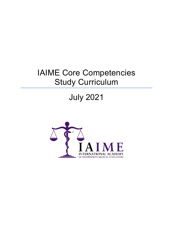# July 2021

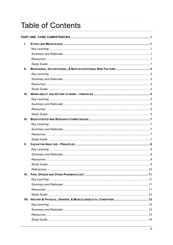# **Table of Contents**

| L.          |  |  |  |  |
|-------------|--|--|--|--|
|             |  |  |  |  |
|             |  |  |  |  |
|             |  |  |  |  |
|             |  |  |  |  |
| Ш.          |  |  |  |  |
|             |  |  |  |  |
|             |  |  |  |  |
|             |  |  |  |  |
|             |  |  |  |  |
| Ш.          |  |  |  |  |
|             |  |  |  |  |
|             |  |  |  |  |
|             |  |  |  |  |
|             |  |  |  |  |
| IV.         |  |  |  |  |
|             |  |  |  |  |
|             |  |  |  |  |
|             |  |  |  |  |
|             |  |  |  |  |
| $V_{\cdot}$ |  |  |  |  |
|             |  |  |  |  |
|             |  |  |  |  |
|             |  |  |  |  |
|             |  |  |  |  |
|             |  |  |  |  |
| VI.         |  |  |  |  |
|             |  |  |  |  |
|             |  |  |  |  |
|             |  |  |  |  |
|             |  |  |  |  |
|             |  |  |  |  |
|             |  |  |  |  |
|             |  |  |  |  |
|             |  |  |  |  |
|             |  |  |  |  |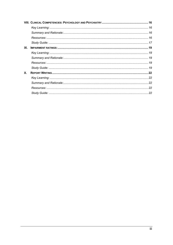| IX. |  |
|-----|--|
|     |  |
|     |  |
|     |  |
|     |  |
| Х.  |  |
|     |  |
|     |  |
|     |  |
|     |  |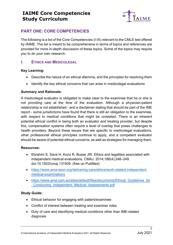

#### <span id="page-3-0"></span>**PART ONE: CORE COMPETENCIES**

The following is a list of the Core Competencies (I-IX) relevant to the CMLE test offered by IAIME. The list is meant to be comprehensive in terms of topics and references are provided for more in-depth discussion of these topics. Some of the topics may require you to do your own research.

#### <span id="page-3-1"></span>**I. ETHICS AND MEDICOLEGAL**

#### <span id="page-3-2"></span>**Key Learning:**

- Describe the nature of an ethical dilemma, and the principles for resolving them
- Identify the key ethical concerns that can arise in medicolegal evaluations

#### <span id="page-3-3"></span>**Summary and Rationale:**

A medicolegal evaluator is obligated to make clear to the examinee that he or she is not providing care at the time of the evaluation. Although a physician-patient relationship is not established - and a disclaimer stating that should be part of the IME report - some jurisdictions have found that there is still an obligation to the examinee, with respect to medical conditions that might be unrelated. There is an inherent potential ethical conflict in being both an evaluator and treating provider, but despite this, compensation systems often require a level of overlap that poses challenges to health providers. Beyond these issues that are specific to medicolegal evaluations, other professional ethical principles continue to apply, and a competent evaluator should be aware of potential ethical concerns, as well as strategies for managing them.

#### <span id="page-3-4"></span>**Resources:**

- Ebrahim S, Sava H, Kunz R, Busse JW. Ethics and legalities associated with independent medical evaluations. CMAJ. 2014;186(4):248–249. doi:10.1503/cmaj.131509. (free on PubMed)
- [https://www.ama-assn.org/delivering-care/ethics/work-related-independent](https://www.ama-assn.org/delivering-care/ethics/work-related-independent-medical-examinations)[medical-examinations](https://www.ama-assn.org/delivering-care/ethics/work-related-independent-medical-examinations)
- https://www.ama.com.au/sites/default/files/documents/Ethical Guidelines for [\\_Conducting\\_Independent\\_Medical\\_Assessments.pdf](https://www.ama.com.au/sites/default/files/documents/Ethical_Guidelines_for_Conducting_Independent_Medical_Assessments.pdf)

- <span id="page-3-5"></span>• Ethical behavior for engaging with patient/examinee
- Conflict of interest between treating and examiner roles
- Duty of care and identifying medical conditions other than IME-related diagnosis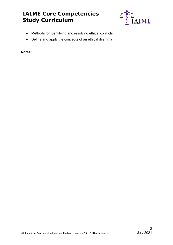

- Methods for identifying and resolving ethical conflicts
- Define and apply the concepts of an ethical dilemma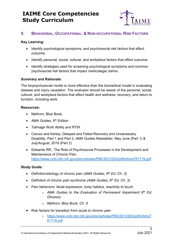

#### <span id="page-5-0"></span>**II. BEHAVIORAL, OCCUPATIONAL, & NON-OCCUPATIONAL RISK FACTORS**

#### <span id="page-5-1"></span>**Key Learning:**

- Identify psychological symptoms, and psychosocial risk factors that affect outcome.
- Identify personal, social, cultural, and workplace factors that affect outcome
- Identify strategies used for screening psychological symptoms and common psychosocial risk factors that impact medicolegal claims.

#### <span id="page-5-2"></span>**Summary and Rationale:**

The biopsychosocial model is more effective than the biomedical model in evaluating disease and injury causation. The evaluator should be aware of the personal, social, cultural, and workplace factors that affect health and wellness, recovery, and return to function, including work.

#### <span id="page-5-3"></span>**Resources:**

- Melhorn, Blue Book,
- AMA Guides,  $6<sup>th</sup>$  Edition
- Talmage Work Ability and RTW
- Caruso and Kertay; Delayed and Failed Recovery and Unnecessary Disability, Part 1 and Part 2, AMA Guides Newsletter, May June (Part 1) & July/August, 2019 (Part 2)
- Edwards RR,. The Role of Psychosocial Processes in the Development and Maintenance of Chronic Pain. <https://www.ncbi.nlm.nih.gov/pmc/articles/PMC5012303/pdf/nihms761719.pdf>

- <span id="page-5-4"></span>• Definition/etiology of chronic pain *(AMA Guides, 6th Ed. Ch. 3)*
- Definition of chronic pain syndrome *(AMA Guides, 6th Ed. Ch. 3)*
- Pain behaviors: facial expression, body habitus, reactivity to touch
	- o *AMA Guides to the Evaluation of Permanent Impairment 6th Ed, Glossary*
	- o *Melhorn, Blue Book, Ch. 6*
- Risk factors for transition from acute to chronic pain
	- o [https://www.ncbi.nlm.nih.gov/pmc/articles/PMC5012303/pdf/nihms7](https://www.ncbi.nlm.nih.gov/pmc/articles/PMC5012303/pdf/nihms761719.pdf) [61719.pdf](https://www.ncbi.nlm.nih.gov/pmc/articles/PMC5012303/pdf/nihms761719.pdf)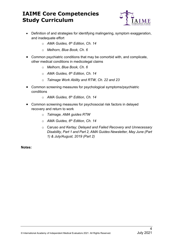

- Definition of and strategies for identifying malingering, symptom exaggeration, and inadequate effort
	- o *AMA Guides, 6th Edition, Ch. 14*
	- o *Melhorn, Blue Book, Ch. 6*
- Common psychiatric conditions that may be comorbid with, and complicate, other medical conditions in medicolegal claims
	- o *Melhorn, Blue Book, Ch. 6*
	- o *AMA Guides, 6th Edition, Ch. 14*
	- o *Talmage Work Ability and RTW, Ch. 22 and 23*
- Common screening measures for psychological symptoms/psychiatric conditions
	- o *AMA Guides, 6th Edition, Ch. 14*
- Common screening measures for psychosocial risk factors in delayed recovery and return to work
	- o *Talmage, AMA guides RTW*
	- o *AMA Guides, 6th Edition, Ch. 14*
	- o Caruso *and Kertay; Delayed and Failed Recovery and Unnecessary Disability, Part 1 and Part 2, AMA Guides Newsletter, May June (Part 1) & July/August, 2019 (Part 2)*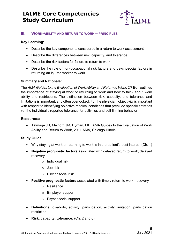

#### <span id="page-7-0"></span>**III. WORK-ABILITY AND RETURN TO WORK – PRINCIPLES**

#### <span id="page-7-1"></span>**Key Learning:**

- Describe the key components considered in a return to work assessment
- Describe the differences between risk, capacity, and tolerance
- Describe the risk factors for failure to return to work
- Describe the role of non-occupational risk factors and psychosocial factors in returning an injured worker to work

#### <span id="page-7-2"></span>**Summary and Rationale:**

The *AMA Guides to the Evaluation of Work Ability and Return to Work*, 2nd Ed., outlines the importance of staying at work or returning to work and how to think about work ability and restrictions. The distinction between risk, capacity, and tolerance and limitations is important, and often overlooked. For the physician, objectivity is important with respect to identifying objective medical conditions that preclude specific activities vs. the individual's reported tolerance for activities and self-limiting behavior.

#### <span id="page-7-3"></span>**Resources:**

• Talmage JB, Melhorn JM, Hyman, MH. AMA Guides to the Evaluation of Work Ability and Return to Work, 2011 AMA, Chicago Illinois

- <span id="page-7-4"></span>• Why staying at work or returning to work is in the patient's best interest (Ch. 1)
- **Negative prognostic factors** associated with delayed return to work, delayed recovery
	- o Individual risk
	- o Job risk
	- o Psychosocial risk
- **Positive prognostic factors** associated with timely return to work, recovery
	- o Resilience
	- o Employer support
	- o Psychosocial support
- **Definitions:** disability, activity, participation, activity limitation, participation restriction
- **Risk, capacity, tolerance:** (Ch. 2 and 6).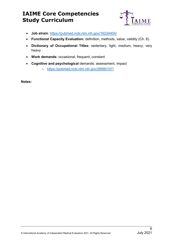

- **Job strain***:* <https://pubmed.ncbi.nlm.nih.gov/16234404/>
- **Functional Capacity Evaluation:** definition, methods, value, validity (Ch. 6).
- **Dictionary of Occupational Titles:** sedentary, light, medium, heavy, very heavy
- **Work demands:** occasional, frequent, constant
- **Cognitive and psychological** demands: assessment, impact
	- o <https://pubmed.ncbi.nlm.nih.gov/28980107/>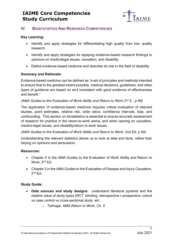

#### <span id="page-9-0"></span>**IV. BIOSTATISTICS AND RESEARCH COMPETENCIES**

#### <span id="page-9-1"></span>**Key Learning:**

- Identify and apply strategies for differentiating high quality from low- quality research
- Identify and apply strategies for applying evidence-based research findings to opinions on medicolegal issues, causation, and disability
- Define evidence-based medicine and describe its role in the field of disability

#### <span id="page-9-2"></span>**Summary and Rationale:**

Evidence-based medicine can be defined as "a set of principles and methods intended to ensure that to the greatest extent possible, medical decisions, guidelines, and other types of guidance are based on and consistent with good evidence of effectiveness and benefit."

#### *(AMA Guides to the Evaluation of Work Ability and Return to Work 2nd E., p 69)*

The application of evidence-based medicine requires critical evaluation of relevant studies, point estimates, relative risk, odds ratios, confidence intervals, bias, and confounding. This section on biostatistics is essential to ensure accurate assessment of research for practice in the return-to-work arena, and when opining on causation, medico-legal issues, and disability/return to work issues.

#### *(AMA Guides to the Evaluation of Work Ability and Return to Work, 2nd Ed, p 69)*

Understanding the relevant statistics allows us to look at data and facts, rather than relying on opinions and persuasion.

#### <span id="page-9-3"></span>**Resources:**

- Chapter 5 in the AMA Guides to the Evaluation of Work Ability and Return to Work, 2<sup>nd</sup> Ed.
- Chapter 2 in the AMA Guides to the Evaluation of Disease and Injury Causation,  $2<sup>nd</sup> Ed.$

- <span id="page-9-4"></span>• **Data sources and study designs:** understand literature pyramid and the relative value of study types (RCT, blinding, retrospective v prospective, cohort vs case control vs cross-sectional study, etc.
	- o *Talmage, AMA Return to Work, Ch. 5*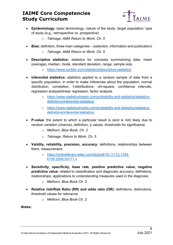

- **Epidemiology:** basic terminology, nature of the study, target population, type of study (e.g., retrospective vs. prospective)
	- o *Talmage, AMA Return to Work, Ch. 5*
- **Bias:** definition, three main categories (selection, information and publication)
	- o *Talmage, AMA Return to Work, Ch. 5*
- **Descriptive statistics:** statistics for concisely summarizing data; mean (average), median, mode, standard deviation, range, sample size.
	- o <https://www.scribbr.com/statistics/descriptive-statistics/>
- **Inferential statistics:** statistics applied to a random sample of data from a specific population, in order to make inferences about the population; normal distribution, correlation, t-distributions, chi-square, confidence intervals, regression analysis/linear regression, factor analysis.
	- o [https://www.statisticshowto.com/probability-and-statistics/statistics](https://www.statisticshowto.com/probability-and-statistics/statistics-definitions/inferential-statistics/)[definitions/inferential-statistics/](https://www.statisticshowto.com/probability-and-statistics/statistics-definitions/inferential-statistics/)
	- o [https://www.statisticshowto.com/probability-and-statistics/statistics](https://www.statisticshowto.com/probability-and-statistics/statistics-definitions/inferential-statistics/)[definitions/inferential-statistics/](https://www.statisticshowto.com/probability-and-statistics/statistics-definitions/inferential-statistics/)
- **P-value**: the extent to which a particular result is (and is not) likely due to random variation (chance); definition, p values, thresholds for significance
	- o *Melhorn, Blue Book, Ch. 2*
	- o *Talmage, Return to Work, Ch. 5*
- **Validity, reliability, precision, accuracy**: definitions, relationships between them, measurement
	- o [https://onlinelibrary.wiley.com/doi/pdf/10.1111/j.1744-](https://onlinelibrary.wiley.com/doi/pdf/10.1111/j.1744-6155.2008.00171.x) [6155.2008.00171.x](https://onlinelibrary.wiley.com/doi/pdf/10.1111/j.1744-6155.2008.00171.x)
- **Sensitivity, specificity, base rate, positive predictive value, negative predictive value:** related to classification and diagnostic accuracy; definitions, relationships, applications to understanding measures used in the diagnosis
	- o *Melhorn, Blue Book Ch. 2*
- **Relative risk/Risk Ratio (RR) and odds ratio (OR)**: definitions, distinctions, threshold values for relevance
	- o *Melhorn, Blue Book Ch. 2*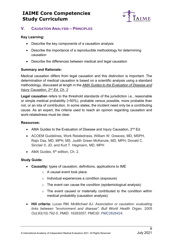

#### <span id="page-11-0"></span>**V. CAUSATION ANALYSIS – PRINCIPLES**

#### <span id="page-11-1"></span>**Key Learning:**

- Describe the key components of a causation analysis
- Describe the importance of a reproducible methodology for determining causation
- Describe the differences between medical and legal causation

#### <span id="page-11-2"></span>**Summary and Rationale:**

Medical causation differs from legal causation and this distinction is important. The determination of medical causation is based on a scientific analysis using a standard methodology, discussed at length in the *AMA Guides to the Evaluation of Disease and Injury Causation, 2nd Ed, Ch. 2*

**Legal causation** refers to the threshold standards of the jurisdiction i.e., reasonable or simple medical probability (>50%), probable versus possible, more probable than not, or an iota of contribution. In some states, the incident need only be a contributing cause. As an expert, the criteria used to reach an opinion regarding causation and work-relatedness must be clear.

#### <span id="page-11-3"></span>**Resources:**

- AMA Guides to the Evaluation of Disease and Injury Causation, 2<sup>nd</sup> Ed.
- ACOEM Guidelines, Work Relatedness, William W. Greaves, MD, MSPH, Rajiv Das, MD, MPH, MS, Judith Green McKenzie, MD, MPH, Donald C. Sinclair II, JD, and Kurt T. Hegmann, MD, MPH
- AMA Guides,  $6<sup>th</sup>$  edition, Ch. 2.

- <span id="page-11-4"></span>• **Causality:** types of causation, definitions, applications to IME
	- o A causal event took place
	- o Individual experiences a condition (exposure)
	- o The event can cause the condition (epidemiological analysis)
	- o The event caused or materially contributed to the condition within medical probability (causation analysis)
- **Hill criteria:** *Lucas RM, McMichael AJ. Association or causation: evaluating links between "environment and disease". Bull World Health Organ. 2005 Oct;83(10):792-5. PMID: 16283057; PMCID: PMC2626424.*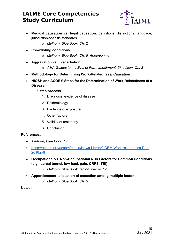

- **Medical causation vs. legal causation:** definitions, distinctions, language, jurisdiction-specific standards.
	- o *Melhorn, Blue* Book*, Ch. 2*
- **Pre-existing conditions** 
	- o *Melhorn, Blue Book, Ch. 5: Apportionment*
- **Aggravation vs. Exacerbation**
	- o *AMA Guides to the Eval of Perm Impairment, 6th edition, Ch. 2*
- **Methodology for Determining Work-Relatedness/ Causation**
- **NIOSH and ACOEM Steps for the Determination of Work-Relatedness of a Disease.**
	- **6 step process** 
		- 1. Diagnosis: evidence of disease
		- 2. Epidemiology
		- 3. Evidence of exposure
		- 4. Other factors
		- 5. Validity of testimony
		- 6. Conclusion

#### <span id="page-12-0"></span>**References:**

- *Melhorn, Blue Book, Ch. 3.*
- [https://acoem.org/acoem/media/News-Library/JOEM-Work-relatedness-Dec-](https://acoem.org/acoem/media/News-Library/JOEM-Work-relatedness-Dec-2018.pdf)[2018.pdf](https://acoem.org/acoem/media/News-Library/JOEM-Work-relatedness-Dec-2018.pdf)
- **Occupational vs. Non-Occupational Risk Factors for Common Conditions (e.g., carpal tunnel, low back pain, CRPS, TBI)** 
	- o *Melhorn, Blue Book, region specific Ch. .*
- **Apportionment: allocation of causation among multiple factors**
	- o *Melhorn, Blue Book, Ch. 5*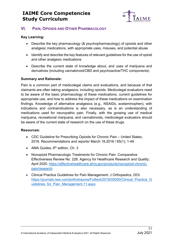

#### <span id="page-13-0"></span>**VI. PAIN, OPIOIDS AND OTHER PHARMACOLOGY**

#### <span id="page-13-1"></span>**Key Learning:**

- Describe the key pharmacology (& psychopharmacology) of opioids and other analgesic medications, with appropriate uses, misuses, and potential abuse
- Identify and describe the key features of relevant guidelines for the use of opioid and other analgesic medications
- Describe the current state of knowledge about, and uses of marijuana and derivatives (including cannabinoid/CBD and psychoactive/THC components)

#### <span id="page-13-2"></span>**Summary and Rationale:**

Pain is a common part of medicolegal claims and evaluations, and because of that claimants are often taking analgesics, including opioids. Medicolegal evaluators need to be aware of the basic pharmacology of these medications, current guidelines for appropriate use, and how to address the impact of these medications on examination findings. Knowledge of alternative analgesics (e.g., NSAIDs, acetaminophen), with indications and contraindications is also necessary, as is an understanding of medications used for neuropathic pain. Finally, with the growing use of medical marijuana, recreational marijuana, and cannabinoids, medicolegal evaluators should be aware of the current state of research on the use of these drugs.

#### <span id="page-13-3"></span>**Resources:**

- CDC Guideline for Prescribing Opioids for Chronic Pain United States, 2016. Recommendations and reports/ March 18,2016 / 65(1); 1-49
- AMA Guides,  $6<sup>th</sup>$  edition, Ch. 3
- Nonopioid Pharmacologic Treatments for Chronic Pain. Comparative Effectiveness Review No. 228. Agency for Healthcare Research and Quality; April 2020. [https://effectivehealthcare.ahrq.gov/products/nonopioid-chronic](https://effectivehealthcare.ahrq.gov/products/nonopioid-chronic-pain/research)[pain/research](https://effectivehealthcare.ahrq.gov/products/nonopioid-chronic-pain/research)
- Clinical Practice Guidelines for Pain Management: J Orthopedics, DOI: [https://journals.lww.com/jorthotrauma/Fulltext/2019/05000/Clinical\\_Practice\\_G](https://journals.lww.com/jorthotrauma/Fulltext/2019/05000/Clinical_Practice_Guidelines_for_Pain_Management.11.aspx) [uidelines\\_for\\_Pain\\_Management.11.aspx](https://journals.lww.com/jorthotrauma/Fulltext/2019/05000/Clinical_Practice_Guidelines_for_Pain_Management.11.aspx)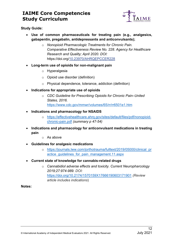

<span id="page-14-0"></span>**Study Guide:**

- **Use of common pharmaceuticals for treating pain (e.g., analgesics, gabapentin, pregabalin, antidepressants and anticonvulsants);** 
	- o *Nonopioid Pharmacologic Treatments for Chronic Pain. Comparative Effectiveness Review No. 228. Agency for Healthcare Research and Quality; April 2020. DOI:*  https://doi.org[/10.23970/AHRQEPCCER228](http://dx.crossref.org/10.23970/AHRQEPCCER228)
- **Long-term use of opioids for non-malignant pain**
	- o Hyperalgesia
	- o Opioid use disorder (definition)
	- o Physical dependence, tolerance, addiction (definition)
- **Indications for appropriate use of opioids**
	- o *CDC Guideline for Prescribing Opioids for Chronic Pain–United States, 2016.*  <https://www.cdc.gov/mmwr/volumes/65/rr/rr6501e1.htm>
- **Indications and pharmacology for NSAIDS**
	- o [https://effectivehealthcare.ahrq.gov/sites/default/files/pdf/nonopioid](https://effectivehealthcare.ahrq.gov/sites/default/files/pdf/nonopioid-chronic-pain.pdf)[chronic-pain.pdf](https://effectivehealthcare.ahrq.gov/sites/default/files/pdf/nonopioid-chronic-pain.pdf) *(summary p 47-54)*
- **Indications and pharmacology for anticonvulsant medications in treating pain**
	- o As above
- **Guidelines for analgesic medications**
	- o [https://journals.lww.com/jorthotrauma/fulltext/2019/05000/clinical\\_pr](https://journals.lww.com/jorthotrauma/fulltext/2019/05000/clinical_practice_guidelines_for_pain_management.11.aspx) [actice\\_guidelines\\_for\\_pain\\_management.11.aspx](https://journals.lww.com/jorthotrauma/fulltext/2019/05000/clinical_practice_guidelines_for_pain_management.11.aspx)
- **Current state of knowledge for cannabis-related drugs**
	- o *Cannabidiol adverse effects and toxicity. Current Neuropharcology 2019;27:974-989. DOI:*  <https://doi.org/10.2174/1570159X17666190603171901> *(Review article includes indications*)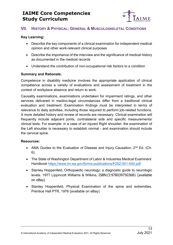

#### <span id="page-15-0"></span>**VII. HISTORY & PHYSICAL; GENERAL & MUSCULOSKELETAL CONDITIONS**

#### <span id="page-15-1"></span>**Key Learning:**

- Describe the key components of a clinical examination for independent medical opinion and other work-relevant clinical purposes
- Describe the importance of the interview and the significance of medical history as documented in the medical records
- Understand the contribution of non-occupational risk factors to a condition

#### <span id="page-15-2"></span>**Summary and Rationale:**

Competence in disability medicine involves the appropriate application of clinical competence across a variety of evaluations and assessment of treatment in the context of workplace absence and return to work.

Causality examinations, examinations undertaken for impairment ratings, and other services delivered in medico-legal circumstances differ from a traditional clinical evaluation and treatment. Examination findings must be interpreted in terms of relevance to daily activities, including those required to perform job-related functions. A more detailed history and review of records are necessary. Clinical examination will frequently include adjacent joints, contralateral side and specific measurements/ clinical tests. For example: in a case of an injured Right shoulder, the examination of the Left shoulder is necessary to establish normal - and examination should include the cervical spine.

#### <span id="page-15-3"></span>**Resources:**

- AMA Guides to the Evaluation of Disease and Injury Causation, 2<sup>nd</sup> Ed. (Ch. 6).
- The State of Washington Department of Labor & Industries Medical Examiners' Handbook<https://www.lni.wa.gov/forms-publications/F252-001-000.pdf>
- Stanley Hoppenfeld, Orthopaedic neurology; a diagnostic guide to neurologic levels. 1977 Lippincott Williams & Wilkins, ISBN13:9780397503681 (available on eBay)
- Stanley Hoppenfeld, Physical Examination of the spine and extremities. Prentice Hall PTR, 1976 (available on eBay)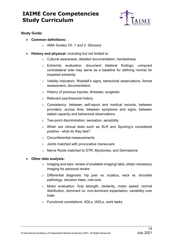

<span id="page-16-0"></span>**Study Guide:** 

- **Common definitions:**
	- o AMA *Guides Ch. 1 and 2, Glossary*
- **History and physical:** including but not limited to:
	- o Cultural awareness, detailed documentation, handedness
	- o Extremity evaluation: document bilateral findings; uninjured contralateral side may serve as a baseline for defining normal for impaired extremity
	- o Validity indicators: Waddell's signs, behavioral observations, formal assessment, documentation
	- o History of previous injuries, illnesses, surgeries
	- o Relevant psychosocial history
	- o Consistency: between self-report and medical records, between providers, across time, between symptoms and signs, between stated capacity and behavioral observations
	- o Two-point discrimination, sensation, sensibility
	- o When are clinical tests such as SLR and Spurling's considered positive - what do they test?
	- o Circumferential measurements
	- o Joints matched with provocative maneuvers
	- o Nerve Roots matched to DTR, Myotomes, and Dermatome

#### • **Other data analysis:**

- o Imaging and labs: review of available imaging/ labs; obtain necessary imaging for personal review
- o Differential diagnosis: hip pain vs. sciatica, neck vs. shoulder pathology, decision trees, rule-outs
- o Motor evaluation: Grip strength, dexterity, motor speed; normal distribution, dominant vs. non-dominant expectation, variability over trials
- o Functional correlations: ADLs, IADLs, work tasks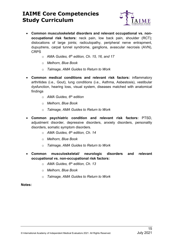

- **Common musculoskeletal disorders and relevant occupational vs. nonoccupational risk factors:** neck pain, low back pain, shoulder (RCT); dislocations of large joints; radiculopathy, peripheral nerve entrapment, dupuytrens, carpal tunnel syndrome, ganglions, avascular necrosis (AVN), **CRPS** 
	- o AMA *Guides, 6th edition, Ch. 15, 16, and 17*
	- o *Melhorn, Blue Book*
	- o *Talmage, AMA Guides to Return to Work*
- **Common medical conditions and relevant risk factors:** inflammatory arthritides (i.e., Gout), lung conditions (i.e., Asthma, Asbestosis), vestibular dysfunction, hearing loss, visual system, diseases matched with anatomical findings
	- o *AMA Guides, 6th edition*
	- o *Melhorn, Blue Book*
	- o *Talmage, AMA Guides to Return to Work*
- **Common psychiatric condition and relevant risk factors:** PTSD, adjustment disorder, depressive disorders, anxiety disorders, personality disorders, somatic symptom disorders.
	- o *AMA Guides, 6th edition, Ch. 14*
	- o *Melhorn, Blue Book*
	- o *Talmage, AMA Guides to Return to Work*
- **Common musculoskeletal/ neurologic disorders and relevant occupational vs. non-occupational risk factors:**
	- o *AMA Guides, 6th edition, Ch. 13*
	- o *Melhorn, Blue Book*
	- o *Talmage, AMA Guides to Return to Work*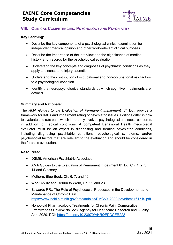

#### <span id="page-18-0"></span>**VIII. CLINICAL COMPETENCIES: PSYCHOLOGY AND PSYCHIATRY**

#### <span id="page-18-1"></span>**Key Learning:**

- Describe the key components of a psychological clinical examination for independent medical opinion and other work-relevant clinical purposes
- Describe the importance of the interview and the significance of medical history and records for the psychological evaluation
- Understand the key concepts and diagnoses of psychiatric conditions as they apply to disease and injury causation
- Understand the contribution of occupational and non-occupational risk factors to a psychological condition
- Identify the neuropsychological standards by which cognitive impairments are defined.

#### <span id="page-18-2"></span>**Summary and Rationale:**

The *AMA Guides to the Evaluation of Permanent Impairment*, 6<sup>th</sup> Ed., provide a framework for IMEs and impairment rating of psychiatric issues. Editions differ in how to evaluate and rate pain, which inherently involves psychological and social concerns, in addition to medical conditions. A competent Behavioral Health medicolegal evaluator must be an expert in diagnosing and treating psychiatric conditions, including diagnosing psychiatric conditions, psychological symptoms, and/or psychosocial factors that are relevant to the evaluation and should be considered in the forensic evaluation.

#### <span id="page-18-3"></span>**Resources:**

- DSM5, American Psychiatric Association
- AMA Guides to the Evaluation of Permanent Impairment  $6<sup>th</sup>$  Ed, Ch. 1, 2, 3, 14 and Glossary
- Melhorn, Blue Book, Ch. 6, 7, and 16
- Work Ability and Return to Work, Ch. 22 and 23
- Edwards RR,. The Role of Psychosocial Processes in the Development and Maintenance of Chronic Pain. <https://www.ncbi.nlm.nih.gov/pmc/articles/PMC5012303/pdf/nihms761719.pdf>
- Nonopioid Pharmacologic Treatments for Chronic Pain. Comparative Effectiveness Review No. 228. Agency for Healthcare Research and Quality; April 2020. DOI: https://doi.org[/10.23970/AHRQEPCCER228](http://dx.crossref.org/10.23970/AHRQEPCCER228)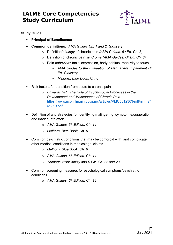

- <span id="page-19-0"></span>• **Principal of Beneficence**
- **Common definitions:** *AMA Guides Ch. 1 and 2, Glossary*
	- o Definition/*etiology* of chronic pain *(AMA Guides, 6th Ed. Ch. 3)*
	- o Definition of chronic pain *syndrome (AMA Guides, 6th Ed. Ch. 3)*
	- o Pain *behaviors*: facial expression, body habitus, reactivity to touch
		- *AMA Guides to the Evaluation of Permanent Impairment 6th Ed, Glossary*
		- *Melhorn, Blue Book, Ch. 6*
- Risk factors for transition from acute to chronic pain
	- o *Edwards RR,. The Role of Psychosocial Processes in the Development and Maintenance of Chronic Pain.*  [https://www.ncbi.nlm.nih.gov/pmc/articles/PMC5012303/pdf/nihms7](https://www.ncbi.nlm.nih.gov/pmc/articles/PMC5012303/pdf/nihms761719.pdf) [61719.pdf](https://www.ncbi.nlm.nih.gov/pmc/articles/PMC5012303/pdf/nihms761719.pdf)
- Definition of and strategies for identifying malingering, symptom exaggeration, and inadequate effort
	- o *AMA Guides, 6th Edition, Ch. 14*
	- o *Melhorn, Blue Book, Ch. 6*
- Common psychiatric conditions that may be comorbid with, and complicate, other medical conditions in medicolegal claims
	- o *Melhorn, Blue Book, Ch. 6*
	- o *AMA Guides, 6th Edition, Ch. 14*
	- o *Talmage Work Ability and RTW, Ch. 22 and 23*
- Common screening measures for psychological symptoms/psychiatric conditions
	- o *AMA Guides, 6th Edition, Ch. 14*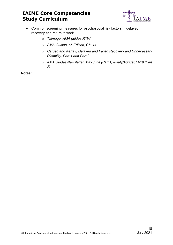

- Common screening measures for psychosocial risk factors in delayed recovery and return to work
	- o *Talmage, AMA guides RTW*
	- o *AMA Guides, 6th Edition, Ch. 14*
	- o *Caruso and Kertay; Delayed and Failed Recovery and Unnecessary Disability, Part 1 and Part 2*
	- o *AMA Guides Newsletter, May June (Part 1) & July/August, 2019 (Part 2)*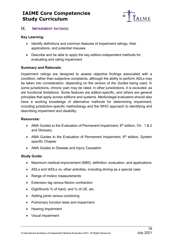

#### <span id="page-21-0"></span>**IX. IMPAIRMENT RATINGS:**

#### <span id="page-21-1"></span>**Key Learning:**

- Identify definitions and common features of impairment ratings, their applications, and potential misuses
- Describe and be able to apply the key edition-independent methods for evaluating and rating impairment

#### <span id="page-21-2"></span>**Summary and Rationale:**

Impairment ratings are designed to assess objective findings associated with a condition, rather than subjective complaints, although the ability to perform ADLs may be taken into consideration, depending on the version of *the Guides* being used. In some jurisdictions, chronic pain may be rated, in other jurisdictions, it is excluded, as are functional limitations. Some features are edition-specific, and others are general principles that apply across editions and systems. Medicolegal evaluators should also have a working knowledge of alternative methods for determining impairment, including jurisdiction-specific methodology and the WHO approach to identifying and describing impairment and disability.

#### <span id="page-21-3"></span>**Resources:**

- AMA Guides to the Evaluation of Permanent Impairment,  $6<sup>th</sup>$  edition, Ch. 1 & 2 and Glossary
- AMA Guides to the Evaluation of Permanent Impairment,  $6<sup>th</sup>$  edition, System specific Chapter
- AMA Guides to Disease and Injury Causation

- <span id="page-21-4"></span>• Maximum medical improvement (MMI): definition, evaluation, and applications
- ADLs and IADLs vs. other activities, including driving as a special case
- Range of motion measurements
- Extension lag versus flexion contraction
- Digit/thumb % of hand, and % of UE, etc.
- Adding joints versus combining
- Pulmonary function tests and impairment
- Hearing impairment
- Visual impairment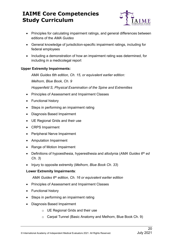

- Principles for calculating impairment ratings, and general differences between editions of the *AMA Guides*
- General knowledge of jurisdiction-specific impairment ratings, including for federal employees
- Including a demonstration of how an impairment rating was determined, for including in a medicolegal report

#### **Upper Extremity Impairments:**

*AMA Guides 6th edition, Ch. 15, or equivalent earlier edition:*

*Melhorn, Blue Book, Ch. 9*

*Hoppenfeld S, Physical Examination of the Spine and Extremities*

- Principles of Assessment and Impairment Classes
- Functional history
- Steps in performing an impairment rating
- Diagnosis Based Impairment
- UE Regional Grids and their use
- CRPS Impairment
- Peripheral Nerve Impairment
- Amputation Impairment
- Range of Motion Impairment
- Definitions of hypoesthesia, hyperesthesia and allodynia (*AMA Guides 6th ed Ch. 3*)
- Injury to opposite extremity (*Melhorn, Blue Book Ch. 33*)

#### **Lower Extremity Impairments**:

*AMA Guides 6th edition, Ch. 16 or equivalent earlier edition*

- Principles of Assessment and Impairment Classes
- Functional history
- Steps in performing an impairment rating
- Diagnosis Based Impairment
	- o UE Regional Grids and their use
	- o Carpal Tunnel (Basic Anatomy and Melhorn, Blue Book Ch. 9)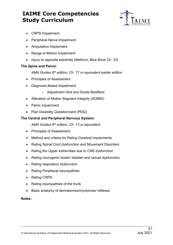

- CRPS Impairment
- Peripheral Nerve Impairment
- Amputation Impairment
- Range of Motion Impairment
- Injury to opposite extremity (*Melhorn, Blue Book Ch. 33*)

#### **The Spine and Pelvis:**

*AMA Guides 6th edition, Ch. 17 or equivalent earlier edition*

- Principles of Assessment
- Diagnosis Based Impairment
	- o Adjustment Grid and Grade Modifiers
- Alteration of Motion Segment Integrity (AOMSI)
- Pelvic Impairment
- Pain Disability Questionnaire (PDQ)

#### **The Central and Peripheral Nervous System:**

*AMA Guides 6th edition, Ch. 13 or equivalent*

- Principles of Assessment
- Method and criteria for Rating Cerebral Impairments
- Rating Spinal Cord dysfunction and Movement Disorders
- Rating the Upper extremities due to CNS dysfunction
- Rating neurogenic bowel, bladder and sexual dysfunction
- Rating respiratory dysfunction
- Rating Peripheral neuropathies
- Rating CRPS
- Rating neuropathies of the trunk
- Basic anatomy of dermatomes/myotomes/ reflexes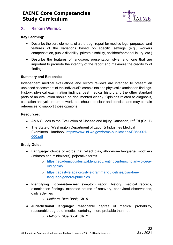

#### <span id="page-24-0"></span>**X. REPORT WRITING**

#### <span id="page-24-1"></span>**Key Learning:**

- Describe the core elements of a thorough report for medico legal purposes, and features of the variations based on specific settings (e.g., workers compensation, public disability, private disability, accident/personal injury, etc.)
- Describe the features of language, presentation style, and tone that are important to promote the integrity of the report and maximize the credibility of findings

#### <span id="page-24-2"></span>**Summary and Rationale:**

Independent medical evaluations and record reviews are intended to present an unbiased assessment of the individual's complaints and physical examination findings. History, physical examination findings, past medical history and the other standard parts of an evaluation should be documented clearly. Opinions related to diagnosis, causation analysis, return to work, etc. should be clear and concise, and may contain references to support those opinions.

#### <span id="page-24-3"></span>**Resources:**

- AMA Guides to the Evaluation of Disease and Injury Causation,  $2^{nd}$  Ed (Ch. 7)
- The State of Washington Department of Labor & Industries Medical Examiners' Handbook [https://www.lni.wa.gov/forms-publications/F252-001-](https://www.lni.wa.gov/forms-publications/F252-001-000.pdf) [000.pdf](https://www.lni.wa.gov/forms-publications/F252-001-000.pdf)

- <span id="page-24-4"></span>• **Language:** choice of words that reflect bias, all-or-none language, modifiers (inflators and minimizers), pejorative terms.
	- o [https://academicguides.waldenu.edu/writingcenter/scholarlyvoice/av](https://academicguides.waldenu.edu/writingcenter/scholarlyvoice/avoidingbias) [oidingbias](https://academicguides.waldenu.edu/writingcenter/scholarlyvoice/avoidingbias)
	- o [https://apastyle.apa.org/style-grammar-guidelines/bias-free](https://apastyle.apa.org/style-grammar-guidelines/bias-free-language/general-principles)[language/general-principles](https://apastyle.apa.org/style-grammar-guidelines/bias-free-language/general-principles)
- **Identifying inconsistencies:** symptom report, history, medical records, examination findings, expected course of recovery, behavioral observations, daily activities
	- o *Melhorn, Blue Book, Ch. 6*
- **Jurisdictional language:** reasonable degree of medical probability, reasonable degree of medical certainty, more probable than not
	- o *Melhorn, Blue Book, Ch. 2*